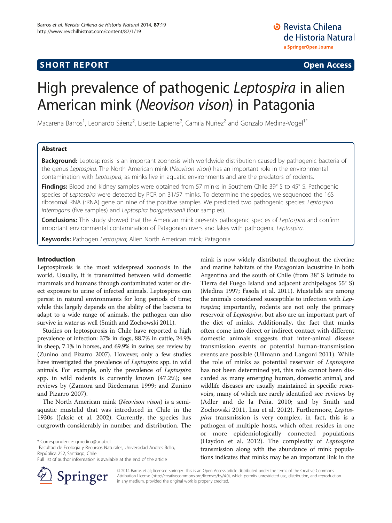# **SHORT REPORT SHORT CONSUMING THE CONSUMING THE CONSUMING THE CONSUMING THE CONSUMING THE CONSUMING THE CONSUMING THE CONSUMING THE CONSUMING THE CONSUMING THE CONSUMING THE CONSUMING THE CONSUMING THE CONSUMING THE CO**

# High prevalence of pathogenic Leptospira in alien American mink (Neovison vison) in Patagonia

Macarena Barros<sup>1</sup>, Leonardo Sáenz<sup>2</sup>, Lisette Lapierre<sup>2</sup>, Camila Nuñez<sup>2</sup> and Gonzalo Medina-Vogel<sup>1\*</sup>

## Abstract

Background: Leptospirosis is an important zoonosis with worldwide distribution caused by pathogenic bacteria of the genus Leptospira. The North American mink (Neovison vison) has an important role in the environmental contamination with Leptospira, as minks live in aquatic environments and are the predators of rodents.

Findings: Blood and kidney samples were obtained from 57 minks in Southern Chile 39° S to 45° S. Pathogenic species of Leptospira were detected by PCR on 31/57 minks. To determine the species, we sequenced the 16S ribosomal RNA (rRNA) gene on nine of the positive samples. We predicted two pathogenic species: Leptospira interrogans (five samples) and Leptospira borgpetersenii (four samples).

Conclusions: This study showed that the American mink presents pathogenic species of Leptospira and confirm important environmental contamination of Patagonian rivers and lakes with pathogenic Leptospira.

Keywords: Pathogen Leptospira; Alien North American mink; Patagonia

### Introduction

Leptospirosis is the most widespread zoonosis in the world. Usually, it is transmitted between wild domestic mammals and humans through contaminated water or direct exposure to urine of infected animals. Leptospires can persist in natural environments for long periods of time; while this largely depends on the ability of the bacteria to adapt to a wide range of animals, the pathogen can also survive in water as well (Smith and Zochowski [2011\)](#page-4-0).

Studies on leptospirosis in Chile have reported a high prevalence of infection: 37% in dogs, 88.7% in cattle, 24.9% in sheep, 7.1% in horses, and 69.9% in swine; see review by (Zunino and Pizarro [2007\)](#page-4-0). However, only a few studies have investigated the prevalence of Leptospira spp. in wild animals. For example, only the prevalence of Leptospira spp. in wild rodents is currently known (47.2%); see reviews by (Zamora and Riedemann [1999;](#page-4-0) and Zunino and Pizarro [2007\)](#page-4-0).

The North American mink (Neovison vison) is a semiaquatic mustelid that was introduced in Chile in the 1930s (Jaksic et al. [2002\)](#page-3-0). Currently, the species has outgrowth considerably in number and distribution. The

<sup>1</sup>Facultad de Ecologia y Recursos Naturales, Universidad Andres Bello, República 252, Santiago, Chile

Full list of author information is available at the end of the article



mink is now widely distributed throughout the riverine and marine habitats of the Patagonian lacustrine in both Argentina and the south of Chile (from 38° S latitude to Tierra del Fuego Island and adjacent archipelagos 55° S) (Medina [1997](#page-3-0); Fasola et al. [2011\)](#page-3-0). Mustelids are among the animals considered susceptible to infection with Leptospira; importantly, rodents are not only the primary reservoir of *Leptospira*, but also are an important part of the diet of minks. Additionally, the fact that minks often come into direct or indirect contact with different domestic animals suggests that inter-animal disease transmission events or potential human-transmission events are possible (Ullmann and Langoni 2011). While the role of minks as potential reservoir of Leptospira has not been determined yet, this role cannot been discarded as many emerging human, domestic animal, and wildlife diseases are usually maintained in specific reservoirs, many of which are rarely identified see reviews by (Adler and de la Peña. [2010](#page-3-0); and by Smith and Zochowski [2011](#page-4-0), Lau et al. [2012](#page-3-0)). Furthermore, Leptospira transmission is very complex, in fact, this is a pathogen of multiple hosts, which often resides in one or more epidemiologically connected populations (Haydon et al. [2012\)](#page-3-0). The complexity of Leptospira transmission along with the abundance of mink populations indicates that minks may be an important link in the

© 2014 Barros et al.; licensee Springer. This is an Open Access article distributed under the terms of the Creative Commons Attribution License [\(http://creativecommons.org/licenses/by/4.0\)](http://creativecommons.org/licenses/by/4.0), which permits unrestricted use, distribution, and reproduction in any medium, provided the original work is properly credited.

<sup>\*</sup> Correspondence: [gmedina@unab.cl](mailto:gmedina@unab.cl) <sup>1</sup>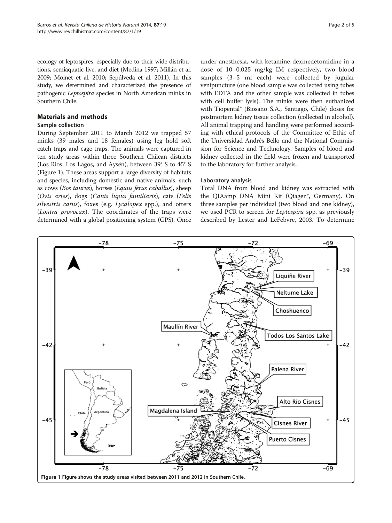<span id="page-1-0"></span>ecology of leptospires, especially due to their wide distributions, semiaquatic live, and diet (Medina [1997](#page-3-0); Millán et al. [2009;](#page-3-0) Moinet et al. [2010](#page-3-0); Sepúlveda et al. [2011\)](#page-3-0). In this study, we determined and characterized the presence of pathogenic Leptospira species in North American minks in Southern Chile.

## Materials and methods

## Sample collection

During September 2011 to March 2012 we trapped 57 minks (39 males and 18 females) using leg hold soft catch traps and cage traps. The animals were captured in ten study areas within three Southern Chilean districts (Los Rios, Los Lagos, and Aysén), between 39° S to 45° S (Figure 1). These areas support a large diversity of habitats and species, including domestic and native animals, such as cows (Bos taurus), horses (Equus ferus caballus), sheep (Ovis aries), dogs (Canis lupus familiaris), cats (Felis silvestris catus), foxes (e.g. Lycalopex spp.), and otters (Lontra provocax). The coordinates of the traps were determined with a global positioning system (GPS). Once

under anesthesia, with ketamine-dexmedetomidine in a dose of 10–0.025 mg/kg IM respectively, two blood samples (3–5 ml each) were collected by jugular venipuncture (one blood sample was collected using tubes with EDTA and the other sample was collected in tubes with cell buffer lysis). The minks were then euthanized with Tiopental® (Biosano S.A., Santiago, Chile) doses for postmortem kidney tissue collection (collected in alcohol). All animal trapping and handling were performed according with ethical protocols of the Committee of Ethic of the Universidad Andrés Bello and the National Commission for Science and Technology. Samples of blood and kidney collected in the field were frozen and transported to the laboratory for further analysis.

## Laboratory analysis

Total DNA from blood and kidney was extracted with the QIAamp DNA Mini Kit (Qiagen®, Germany). On three samples per individual (two blood and one kidney), we used PCR to screen for Leptospira spp. as previously described by Lester and LeFebvre, [2003](#page-3-0). To determine

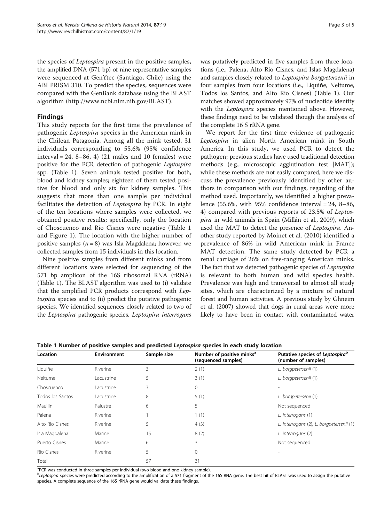the species of Leptospira present in the positive samples, the amplified DNA (571 bp) of nine representative samples were sequenced at GenYtec (Santiago, Chile) using the ABI PRISM 310. To predict the species, sequences were compared with the GenBank database using the BLAST algorithm [\(http://www.ncbi.nlm.nih.gov/BLAST\)](http://www.ncbi.nlm.nih.gov/BLAST).

## Findings

This study reports for the first time the prevalence of pathogenic Leptospira species in the American mink in the Chilean Patagonia. Among all the mink tested, 31 individuals corresponding to 55.6% (95% confidence interval =  $24$ ,  $8-86$ ,  $4)$  (21 males and 10 females) were positive for the PCR detection of pathogenic Leptospira spp. (Table 1). Seven animals tested positive for both, blood and kidney samples; eighteen of them tested positive for blood and only six for kidney samples. This suggests that more than one sample per individual facilitates the detection of Leptospira by PCR. In eight of the ten locations where samples were collected, we obtained positive results; specifically, only the location of Choscuenco and Rio Cisnes were negative (Table 1 and Figure [1\)](#page-1-0). The location with the higher number of positive samples  $(n = 8)$  was Isla Magdalena; however, we collected samples from 15 individuals in this location.

Nine positive samples from different minks and from different locations were selected for sequencing of the 571 bp amplicon of the 16S ribosomal RNA (rRNA) (Table 1). The BLAST algorithm was used to (i) validate that the amplified PCR products correspond with Leptospira species and to (ii) predict the putative pathogenic species. We identified sequences closely related to two of the Leptospira pathogenic species. Leptospira interrogans was putatively predicted in five samples from three locations (i.e., Palena, Alto Rio Cisnes, and Islas Magdalena) and samples closely related to Leptospira borgpetersenii in four samples from four locations (i.e., Liquiñe, Neltume, Todos los Santos, and Alto Rio Cisnes) (Table 1). Our matches showed approximately 97% of nucleotide identity with the *Leptospira* species mentioned above. However, these findings need to be validated though the analysis of the complete 16 S rRNA gene.

We report for the first time evidence of pathogenic Leptospira in alien North American mink in South America. In this study, we used PCR to detect the pathogen; previous studies have used traditional detection methods (e.g., microscopic agglutination test [MAT]); while these methods are not easily compared, here we discuss the prevalence previously identified by other authors in comparison with our findings, regarding of the method used. Importantly, we identified a higher prevalence (55.6%, with 95% confidence interval = 24, 8–86, 4) compared with previous reports of 23.5% of Leptospira in wild animals in Spain (Millán et al., [2009\)](#page-3-0), which used the MAT to detect the presence of Leptospira. Another study reported by Moinet et al. ([2010\)](#page-3-0) identified a prevalence of 86% in wild American mink in France MAT detection. The same study detected by PCR a renal carriage of 26% on free-ranging American minks. The fact that we detected pathogenic species of Leptospira is relevant to both human and wild species health. Prevalence was high and transversal to almost all study sites, which are characterized by a mixture of natural forest and human activities. A previous study by Ghneim et al. [\(2007](#page-3-0)) showed that dogs in rural areas were more likely to have been in contact with contaminated water

| Location         | <b>Environment</b> | Sample size | Number of positive minks <sup>a</sup><br>(sequenced samples) | Putative species of Leptospira <sup>b</sup><br>(number of samples) |
|------------------|--------------------|-------------|--------------------------------------------------------------|--------------------------------------------------------------------|
| Liquiñe          | Riverine           | 3           | 2(1)                                                         | L. borgpetersenii (1)                                              |
| Neltume          | Lacustrine         | 5           | 3(1)                                                         | L. borgpetersenii (1)                                              |
| Choscuenco       | Lacustrine         | 3           | 0                                                            |                                                                    |
| Todos los Santos | Lacustrine         | 8           | 5(1)                                                         | L. borgpetersenii (1)                                              |
| Maullín          | Palustre           | 6           | 5                                                            | Not sequenced                                                      |
| Palena           | Riverine           |             | 1(1)                                                         | L. interrogans (1)                                                 |
| Alto Rio Cisnes  | Riverine           | 5           | 4(3)                                                         | L. interrogans (2), L. borgpetersenii (1)                          |
| Isla Magdalena   | Marine             | 15          | 8(2)                                                         | L. interrogans (2)                                                 |
| Puerto Cisnes    | Marine             | 6           | 3                                                            | Not sequenced                                                      |
| Rio Cisnes       | Riverine           | 5           | 0                                                            |                                                                    |
| Total            |                    | 57          | 31                                                           |                                                                    |

Table 1 Number of positive samples and predicted Leptospira species in each study location

<sup>a</sup>PCR was conducted in three samples per individual (two blood and one kidney sample).

bLeptospira species were predicted according to the amplification of a 571 fragment of the 16S RNA gene. The best hit of BLAST was used to assign the putative species. A complete sequence of the 16S rRNA gene would validate these findings.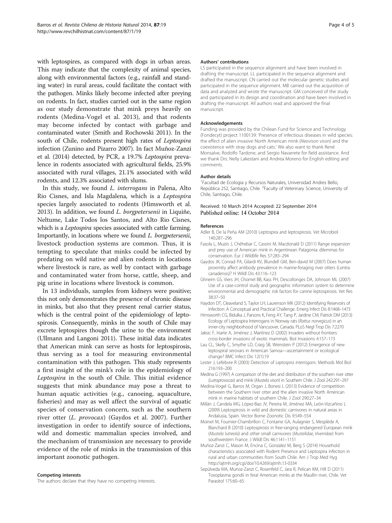<span id="page-3-0"></span>with leptospires, as compared with dogs in urban areas. This may indicate that the complexity of animal species, along with environmental factors (e.g., rainfall and standing water) in rural areas, could facilitate the contact with the pathogen. Minks likely become infected after preying on rodents. In fact, studies carried out in the same region as our study demonstrate that mink preys heavily on rodents (Medina-Vogel et al. 2013), and that rodents may become infected by contact with garbage and contaminated water (Smith and Rochowski [2011\)](#page-4-0). In the south of Chile, rodents present high rates of Leptospira infection (Zunino and Pizarro [2007\)](#page-4-0). In fact Muñoz-Zanzi et al. (2014) detected, by PCR, a 19.7% Leptospira prevalence in rodents associated with agricultural fields, 25.9% associated with rural villages, 21.1% associated with wild rodents, and 12.3% associated with slums.

In this study, we found L. interrogans in Palena, Alto Rio Cisnes, and Isla Magdalena, which is a Leptospira species largely associated to rodents (Himsworth et al. 2013). In addition, we found L. borgpetersenii in Liquiñe, Neltume, Lake Todos los Santos, and Alto Rio Cisnes, which is a *Leptospira* species associated with cattle farming. Importantly, in locations where we found L. borgpetersenii, livestock production systems are common. Thus, it is tempting to speculate that minks could be infected by predating on wild native and alien rodents in locations where livestock is rare, as well by contact with garbage and contaminated water from horse, cattle, sheep, and pig urine in locations where livestock is common.

In 13 individuals, samples from kidneys were positive; this not only demonstrates the presence of chronic disease in minks, but also that they present renal carrier status, which is the central point of the epidemiology of leptospirosis. Consequently, minks in the south of Chile may excrete leptospires though the urine to the environment (Ullmann and Langoni [2011](#page-4-0)). These initial data indicates that American mink can serve as hosts for leptospirosis, thus serving as a tool for measuring environmental contamination with this pathogen. This study represents a first insight of the mink's role in the epidemiology of Leptospira in the south of Chile. This initial evidence suggests that mink abundance may pose a threat to human aquatic activities (e.g., canoeing, aquaculture, fisheries) and may as well affect the survival of aquatic species of conservation concern, such as the southern river otter (L. provocax) (Gaydos et al. 2007). Further investigation in order to identify source of infections, wild and domestic mammalian species involved, and the mechanism of transmission are necessary to provide evidence of the role of minks in the transmission of this important zoonotic pathogen.

#### Competing interests

The authors declare that they have no competing interests.

#### Authors' contributions

LS participated in the sequence alignment and have been involved in drafting the manuscript. LL participated in the sequence alignment and drafted the manuscript. CN carried out the molecular genetic studies and participated in the sequence alignment. MB carried out the acquisition of data and analyzed and wrote the manuscript. GM conceived of the study and participated in its design and coordination and have been involved in drafting the manuscript. All authors read and approved the final manuscript.

#### Acknowledgements

Funding was provided by the Chilean Fund for Science and Technology (Fondecyt) project 1100139: 'Presence of infectious diseases in wild species: the effect of alien invasive North American mink (Neovison vison) and the coexistence with stray dogs and cats.' We also want to thank René Monsalve, Rodolfo Tardone, and Sergio Navarrete for field assistance. And we thank Drs. Nelly Lakestani and Andrea Moreno for English editing and comments.

#### Author details

1 Facultad de Ecologia y Recursos Naturales, Universidad Andres Bello, República 252, Santiago, Chile. <sup>2</sup> Faculty of Veterinary Science, University of Chile, Santiago, Chile.

#### Received: 10 March 2014 Accepted: 22 September 2014 Published online: 14 October 2014

#### References

- Adler B, De la Peña AM (2010) Leptospira and leptospirosis. Vet Microbiol 140:287–296
- Fasola L, Muzio J, Chéhebar C, Cassini M, Macdonald D (2011) Range expansion and prey use of American mink in Argentinean Patagonia: dilemmas for conservation. Eur J Wildlife Res 57:283–294
- Gaydos JK, Conrad PA, Gilardi KV, Blundell GM, Ben-david M (2007) Does human proximity affect antibody prevalence in marine-foraging river otters (Lontra canadensis)? H Wildl Dis 43:116–123
- Ghneim GS, Viers JH, Chomel BB, Kass PH, Descollonges DA, Johnson ML (2007) Use of a case-control study and geographic information system to determine environmental and demographic risk factors for canine leptospirosis. Vet Res 38:37–50
- Haydon DT, Cleaveland S, Taylor LH, Laurenson MK (2012) Identifying Reservoirs of Infection: A Conceptual and Practical Challenge. Emerg Infect Dis 8:1468–1473
- Himsworth CG, Bidulka J, Parsons K, Feng AY, Tang P, Jardine CM, Patrick DM (2013) Ecology of Leptospira Interrogans in Norway rats (Rattus norvegicus) in an inner-city neighborhood of Vancuover, Canada. PLoS Negl Trop Dis 7:2270
- Jaksic F, Iriarte A, Jiménez J, Martínez D (2002) Invaders without frontiers: cross-border invasions of exotic mammals. Biol Invasions 4:157–173
- Lau CL, Skelly C, Smythe LD, Craig SB, Weinstein P (2012) Emergence of new leptospiral serovars in American Samoa—ascertainment or ecological change? BMC Infect Dis 12(1):19
- Lester J, Lefebvre R (2003) Detection of Leptospira interrogans. Methods Mol Biol 216:193–200
- Medina G (1997) A comparison of the diet and distribution of the southern river otter (Lutraprovocax) and mink (Mustela vison) in Southern Chile. J Zool 242:291–297
- Medina-Vogel G, Barros M, Organ J, Bonesi L (2013) Evidence of competition between the Southern river otter and the alien invasive North American mink in marine habitats of southern Chile. J Zool 290:27–34
- Millán J, Candela MG, López-Bao JV, Pereira M, Jiménez MA, León-Vizcañino L (2009) Leptospirosis in wild and domestic carnivores in natural areas in Andalusia, Spain. Vector Borne Zoonotic Dis 9:549–554
- Moinet M, Fournier-Chambrillon C, Fontaine GA, Aulagnier S, Mesplède A, Blanchard B (2010) Leptospirosis in free-ranging endangered European mink (Mustela lutreola) and other small carnivores (Mustelidae, Viverridae) from southwestern France. J Wildl Dis 46:1141–1151
- Muñoz-Zanzi C, Mason M, Encina C, Gonzalez M, Berg S (2014) Household characteristics associated with Rodent Presence and Leptospira infection in rural and urban communities from South Chile. Am J Trop Med Hyg <http://ajtmh.org/cgi/doi/10.4269/ajtmh.13-0334>
- Sepúlveda MA, Munoz-Zanzi C, Rosenfeld C, Jara R, Pelican KM, Hill D (2011) Toxoplasma gondii in feral American minks at the Maullin river, Chile. Vet Parasitol 175:60–65